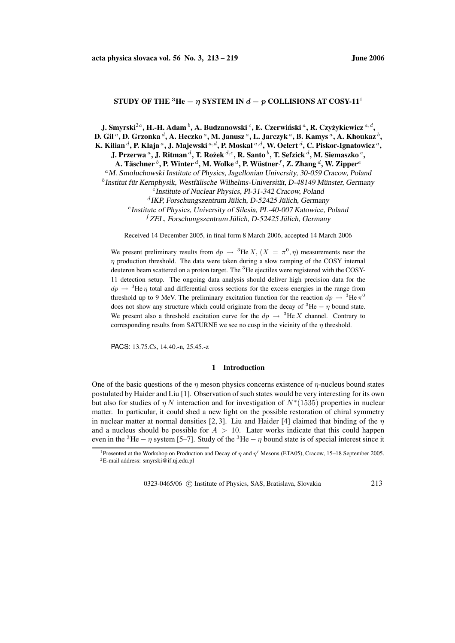# **STUDY** OF THE <sup>3</sup>He  $\eta$  SYSTEM IN  $d - p$  COLLISIONS AT COSY-11<sup>1</sup>

 ${\bf J.~Smyrski^{2a}, H.-H.~Adam~}^b, {\bf A.~Budzanowski~}^c, {\bf E.~Czerwiński~}^a, {\bf R.~Czyżykiewicz~}^a, d,$ D. Gil  ${}^a,$  D. Grzonka  ${}^d,$  A. Heczko  ${}^a,$  M. Janusz  ${}^a,$  L. Jarczyk  ${}^a,$  B. Kamys  ${}^a,$  A. Khoukaz  ${}^b,$ K. Kilian  ${}^d$ , P. Klaja  ${}^a$ , J. Majewski  ${}^{a,d},$  P. Moskal  ${}^{a,d},$  W. Oelert  ${}^d,$  C. Piskor-Ignatowicz  ${}^a,$  ${\bf J.~}$  **Przerwa**  $^a$ ,  ${\bf J.~}$   ${\bf R}$ itman  $^d$ ,  ${\bf T.~}$   ${\bf R}o{\bf {\it zek}}$   $^d$ . $^e$ ,  ${\bf R.~}$  Santo  $^b$ ,  ${\bf T.~}$  Sefzick  $^d$ ,  ${\bf M.~}$  Siemaszko  $^e$ , **A. Taschner ¨** b **, P. Winter** <sup>d</sup> **, M. Wolke** d **, P. Wustner ¨** f **, Z. Zhang** <sup>d</sup> **, W. Zipper**<sup>e</sup> <sup>a</sup>M. Smoluchowski Institute of Physics, Jagellonian University, 30-059 Cracow, Poland  $^b$ Institut für Kernphysik, Westfälische Wilhelms-Universität, D-48149 Münster, Germany c Institute of Nuclear Physics, Pl-31-342 Cracow, Poland <sup>d</sup>IKP, Forschungszentrum Jülich, D-52425 Jülich, Germany e Institute of Physics, University of Silesia, PL-40-007 Katowice, Poland  $f$ ZEL, Forschungszentrum Jülich, D-52425 Jülich, Germany Received 14 December 2005, in final form 8 March 2006, accepted 14 March 2006

We present preliminary results from  $dp \rightarrow {}^{3}$ He  $X, (X = \pi^0, \eta)$  measurements near the  $\eta$  production threshold. The data were taken during a slow ramping of the COSY internal deuteron beam scattered on a proton target. The <sup>3</sup>He ejectiles were registered with the COSY-11 detection setup. The ongoing data analysis should deliver high precision data for the  $dp \rightarrow$ <sup>3</sup>He  $\eta$  total and differential cross sections for the excess energies in the range from threshold up to 9 MeV. The preliminary excitation function for the reaction  $dp \rightarrow {}^{3}\text{He} \,\pi^0$ does not show any structure which could originate from the decay of  ${}^{3}$ He –  $\eta$  bound state. We present also a threshold excitation curve for the  $dp \rightarrow {}^{3}He X$  channel. Contrary to corresponding results from SATURNE we see no cusp in the vicinity of the  $\eta$  threshold.

PACS: 13.75.Cs, 14.40.-n, 25.45.-z

#### **1 Introduction**

One of the basic questions of the  $\eta$  meson physics concerns existence of  $\eta$ -nucleus bound states postulated by Haider and Liu [1]. Observation of such states would be very interesting for its own but also for studies of  $\eta N$  interaction and for investigation of  $N^*(1535)$  properties in nuclear matter. In particular, it could shed a new light on the possible restoration of chiral symmetry in nuclear matter at normal densities [2, 3]. Liu and Haider [4] claimed that binding of the  $\eta$ and a nucleus should be possible for  $A > 10$ . Later works indicate that this could happen even in the <sup>3</sup>He −  $\eta$  system [5–7]. Study of the <sup>3</sup>He −  $\eta$  bound state is of special interest since it

0323-0465/06 © Institute of Physics, SAS, Bratislava, Slovakia 213

<sup>&</sup>lt;sup>1</sup>Presented at the Workshop on Production and Decay of  $\eta$  and  $\eta'$  Mesons (ETA05), Cracow, 15–18 September 2005. <sup>2</sup>E-mail address: smyrski@if.uj.edu.pl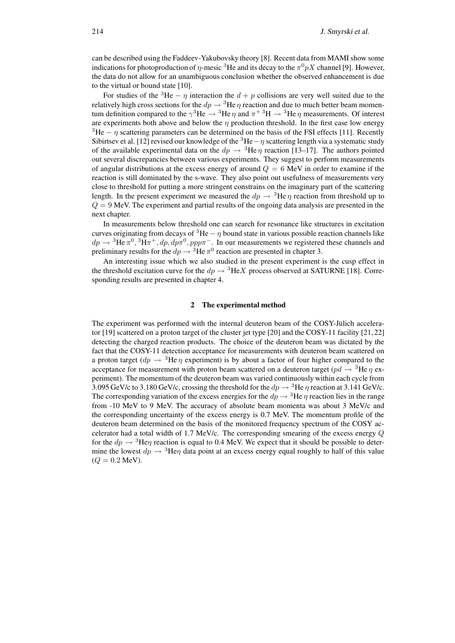can be described using the Faddeev-Yakubovsky theory [8]. Recent data from MAMI show some indications for photoproduction of  $\eta$ -mesic <sup>3</sup>He and its decay to the  $\pi^0 pX$  channel [9]. However, the data do not allow for an unambiguous conclusion whether the observed enhancement is due to the virtual or bound state [10].

For studies of the <sup>3</sup>He −  $\eta$  interaction the  $d + p$  collisions are very well suited due to the relatively high cross sections for the  $dp \rightarrow$  <sup>3</sup>He  $\eta$  reaction and due to much better beam momentum definition compared to the  $\gamma^3$ He  $\rightarrow$  <sup>3</sup>He  $\eta$  and  $\pi^+$  <sup>3</sup>H $\rightarrow$  <sup>3</sup>He  $\eta$  measurements. Of interest are experiments both above and below the  $\eta$  production threshold. In the first case low energy  $3$ He –  $\eta$  scattering parameters can be determined on the basis of the FSI effects [11]. Recently Sibirtsev et al. [12] revised our knowledge of the <sup>3</sup>He –  $\eta$  scattering length via a systematic study of the available experimental data on the  $dp \rightarrow {}^{3}$ He  $\eta$  reaction [13–17]. The authors pointed out several discrepancies between various experiments. They suggest to perform measurements of angular distributions at the excess energy of around  $Q = 6$  MeV in order to examine if the reaction is still dominated by the s-wave. They also point out usefulness of measurements very close to threshold for putting a more stringent constrains on the imaginary part of the scattering length. In the present experiment we measured the  $dp \rightarrow {}^{3}He \eta$  reaction from threshold up to  $Q = 9$  MeV. The experiment and partial results of the ongoing data analysis are presented in the next chapter.

In measurements below threshold one can search for resonance like structures in excitation curves originating from decays of  ${}^{3}$ He –  $\eta$  bound state in various possible reaction channels like  $dp \rightarrow {}^{3}\text{He} \pi {}^{0}, {}^{3}\text{H} \pi {}^{+}, dp, dp \pi {}^{0}, ppp \pi {}^{-}$ . In our measurements we registered these channels and preliminary results for the  $dp \rightarrow {^{3}He} \pi^{0}$  reaction are presented in chapter 3.

An interesting issue which we also studied in the present experiment is the cusp effect in the threshold excitation curve for the  $dp \rightarrow {}^{3}$ HeX process observed at SATURNE [18]. Corresponding results are presented in chapter 4.

# **2 The experimental method**

The experiment was performed with the internal deuteron beam of the COSY-Jülich accelerator [19] scattered on a proton target of the cluster jet type [20] and the COSY-11 facility [21, 22] detecting the charged reaction products. The choice of the deuteron beam was dictated by the fact that the COSY-11 detection acceptance for measurements with deuteron beam scattered on a proton target  $(dp \rightarrow {}^{3}He \eta$  experiment) is by about a factor of four higher compared to the acceptance for measurement with proton beam scattered on a deuteron target ( $pd \rightarrow$  <sup>3</sup>He  $\eta$  experiment). The momentum of the deuteron beam was varied continuously within each cycle from 3.095 GeV/c to 3.180 GeV/c, crossing the threshold for the  $dp \rightarrow {}^{3}$ He  $\eta$  reaction at 3.141 GeV/c. The corresponding variation of the excess energies for the  $dp \rightarrow {}^{3}$ He  $\eta$  reaction lies in the range from -10 MeV to 9 MeV. The accuracy of absolute beam momenta was about 3 MeV/c and the corresponding uncertainty of the excess energy is 0.7 MeV. The momentum profile of the deuteron beam determined on the basis of the monitored frequency spectrum of the COSY accelerator had a total width of 1.7 MeV/c. The corresponding smearing of the excess energy Q for the  $dp \rightarrow$  <sup>3</sup>He $\eta$  reaction is equal to 0.4 MeV. We expect that it should be possible to determine the lowest  $dp \rightarrow$ <sup>3</sup>He $\eta$  data point at an excess energy equal roughly to half of this value  $(Q = 0.2 \text{ MeV}).$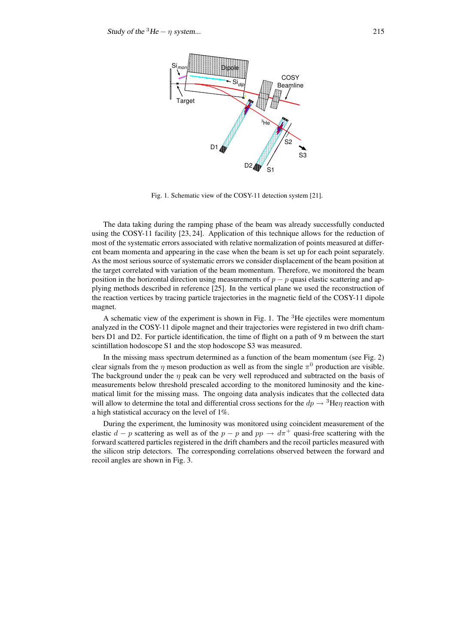

Fig. 1. Schematic view of the COSY-11 detection system [21].

The data taking during the ramping phase of the beam was already successfully conducted using the COSY-11 facility [23, 24]. Application of this technique allows for the reduction of most of the systematic errors associated with relative normalization of points measured at different beam momenta and appearing in the case when the beam is set up for each point separately. As the most serious source of systematic errors we consider displacement of the beam position at the target correlated with variation of the beam momentum. Therefore, we monitored the beam position in the horizontal direction using measurements of  $p - p$  quasi elastic scattering and applying methods described in reference [25]. In the vertical plane we used the reconstruction of the reaction vertices by tracing particle trajectories in the magnetic field of the COSY-11 dipole magnet.

A schematic view of the experiment is shown in Fig. 1. The  ${}^{3}$ He ejectiles were momentum analyzed in the COSY-11 dipole magnet and their trajectories were registered in two drift chambers D1 and D2. For particle identification, the time of flight on a path of 9 m between the start scintillation hodoscope S1 and the stop hodoscope S3 was measured.

In the missing mass spectrum determined as a function of the beam momentum (see Fig. 2) clear signals from the  $\eta$  meson production as well as from the single  $\pi^0$  production are visible. The background under the  $\eta$  peak can be very well reproduced and subtracted on the basis of measurements below threshold prescaled according to the monitored luminosity and the kinematical limit for the missing mass. The ongoing data analysis indicates that the collected data will allow to determine the total and differential cross sections for the  $dp \rightarrow$  <sup>3</sup>He $\eta$  reaction with a high statistical accuracy on the level of 1%.

During the experiment, the luminosity was monitored using coincident measurement of the elastic  $d - p$  scattering as well as of the  $p - p$  and  $pp \rightarrow d\pi^{+}$  quasi-free scattering with the forward scattered particles registered in the drift chambers and the recoil particles measured with the silicon strip detectors. The corresponding correlations observed between the forward and recoil angles are shown in Fig. 3.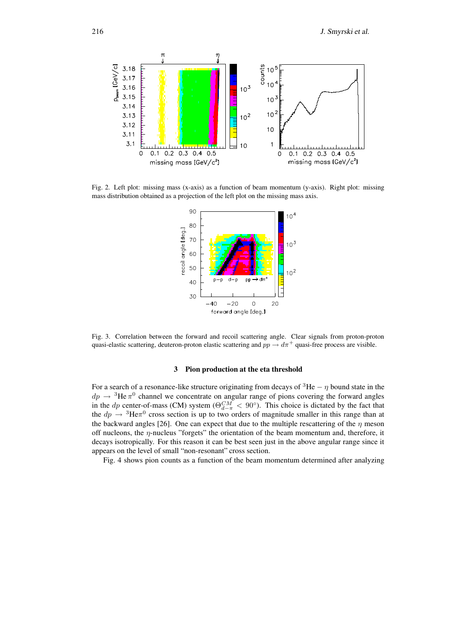

Fig. 2. Left plot: missing mass (x-axis) as a function of beam momentum (y-axis). Right plot: missing mass distribution obtained as a projection of the left plot on the missing mass axis.



Fig. 3. Correlation between the forward and recoil scattering angle. Clear signals from proton-proton quasi-elastic scattering, deuteron-proton elastic scattering and  $pp \to d\pi^+$  quasi-free process are visible.

### **3 Pion production at the eta threshold**

For a search of a resonance-like structure originating from decays of  ${}^{3}$ He –  $\eta$  bound state in the  $dp \rightarrow$ <sup>3</sup>He  $\pi$ <sup>0</sup> channel we concentrate on angular range of pions covering the forward angles in the dp center-of-mass (CM) system ( $\Theta_{d-\pi}^{CM} < 90^{\circ}$ ). This choice is dictated by the fact that the  $dp \rightarrow {}^{3}He\pi {}^{0}$  cross section is up to two orders of magnitude smaller in this range than at the backward angles [26]. One can expect that due to the multiple rescattering of the  $\eta$  meson off nucleons, the  $\eta$ -nucleus "forgets" the orientation of the beam momentum and, therefore, it decays isotropically. For this reason it can be best seen just in the above angular range since it appears on the level of small "non-resonant" cross section.

Fig. 4 shows pion counts as a function of the beam momentum determined after analyzing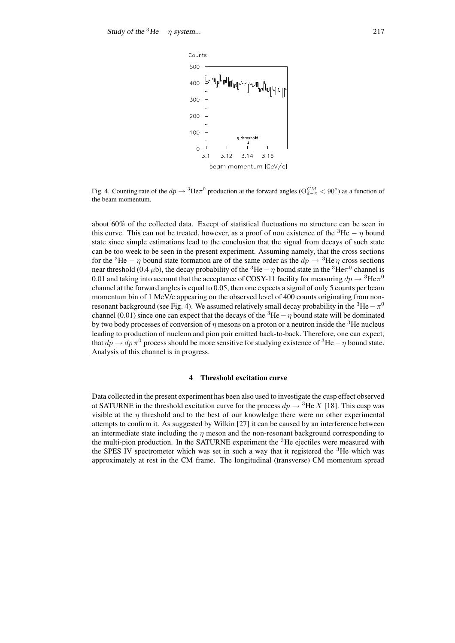

Fig. 4. Counting rate of the  $dp \to {}^3\textrm{He} \pi^0$  production at the forward angles ( $\Theta_{d-\pi}^{CM} < 90^\circ$ ) as a function of the beam momentum.

about 60% of the collected data. Except of statistical fluctuations no structure can be seen in this curve. This can not be treated, however, as a proof of non existence of the <sup>3</sup>He –  $\eta$  bound state since simple estimations lead to the conclusion that the signal from decays of such state can be too week to be seen in the present experiment. Assuming namely, that the cross sections for the <sup>3</sup>He – η bound state formation are of the same order as the  $dp \rightarrow$ <sup>3</sup>He η cross sections near threshold (0.4  $\mu$ b), the decay probability of the <sup>3</sup>He –  $\eta$  bound state in the <sup>3</sup>He $\pi$ <sup>0</sup> channel is 0.01 and taking into account that the acceptance of COSY-11 facility for measuring  $dp \rightarrow {}^{3}\text{He} \pi^{0}$ channel at the forward angles is equal to 0.05, then one expects a signal of only 5 counts per beam momentum bin of 1 MeV/c appearing on the observed level of 400 counts originating from nonresonant background (see Fig. 4). We assumed relatively small decay probability in the <sup>3</sup>He –  $\pi^0$ channel (0.01) since one can expect that the decays of the <sup>3</sup>He –  $\eta$  bound state will be dominated by two body processes of conversion of  $\eta$  mesons on a proton or a neutron inside the <sup>3</sup>He nucleus leading to production of nucleon and pion pair emitted back-to-back. Therefore, one can expect, that  $dp \to dp \pi^0$  process should be more sensitive for studying existence of <sup>3</sup>He –  $\eta$  bound state. Analysis of this channel is in progress.

#### **4 Threshold excitation curve**

Data collected in the present experiment has been also used to investigate the cusp effect observed at SATURNE in the threshold excitation curve for the process  $dp \rightarrow {}^{3}\text{He} X$  [18]. This cusp was visible at the  $\eta$  threshold and to the best of our knowledge there were no other experimental attempts to confirm it. As suggested by Wilkin [27] it can be caused by an interference between an intermediate state including the  $\eta$  meson and the non-resonant background corresponding to the multi-pion production. In the SATURNE experiment the  ${}^{3}$ He ejectiles were measured with the SPES IV spectrometer which was set in such a way that it registered the <sup>3</sup>He which was approximately at rest in the CM frame. The longitudinal (transverse) CM momentum spread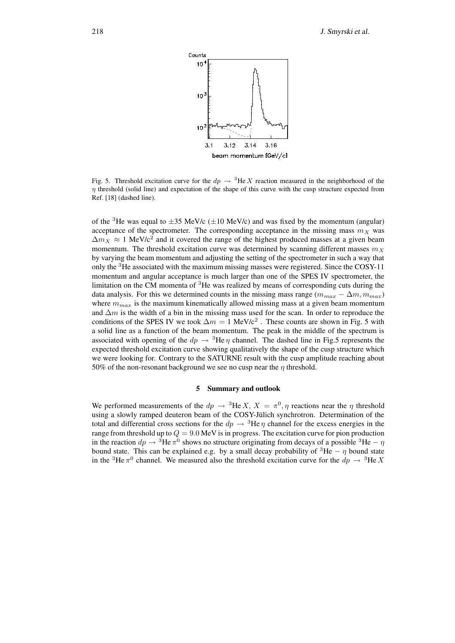

Fig. 5. Threshold excitation curve for the  $dp \rightarrow {}^{3}He X$  reaction measured in the neighborhood of the  $\eta$  threshold (solid line) and expectation of the shape of this curve with the cusp structure expected from Ref. [18] (dashed line).

of the <sup>3</sup>He was equal to  $\pm 35$  MeV/c ( $\pm 10$  MeV/c) and was fixed by the momentum (angular) acceptance of the spectrometer. The corresponding acceptance in the missing mass  $m<sub>X</sub>$  was  $\Delta m_X \approx 1$  MeV/c<sup>2</sup> and it covered the range of the highest produced masses at a given beam momentum. The threshold excitation curve was determined by scanning different masses  $m<sub>X</sub>$ by varying the beam momentum and adjusting the setting of the spectrometer in such a way that only the <sup>3</sup>He associated with the maximum missing masses were registered. Since the COSY-11 momentum and angular acceptance is much larger than one of the SPES IV spectrometer, the limitation on the CM momenta of <sup>3</sup>He was realized by means of corresponding cuts during the data analysis. For this we determined counts in the missing mass range  $(m_{max} - \Delta m, m_{max})$ where  $m_{max}$  is the maximum kinematically allowed missing mass at a given beam momentum and  $\Delta m$  is the width of a bin in the missing mass used for the scan. In order to reproduce the conditions of the SPES IV we took  $\Delta m = 1$  MeV/c<sup>2</sup>. These counts are shown in Fig. 5 with a solid line as a function of the beam momentum. The peak in the middle of the spectrum is associated with opening of the  $dp \rightarrow {}^{3}$ He  $\eta$  channel. The dashed line in Fig.5 represents the expected threshold excitation curve showing qualitatively the shape of the cusp structure which we were looking for. Contrary to the SATURNE result with the cusp amplitude reaching about 50% of the non-resonant background we see no cusp near the  $\eta$  threshold.

# **5 Summary and outlook**

We performed measurements of the  $dp \rightarrow {}^{3}$ He  $X, X = \pi^0, \eta$  reactions near the  $\eta$  threshold using a slowly ramped deuteron beam of the COSY-Jülich synchrotron. Determination of the total and differential cross sections for the  $dp \rightarrow$ <sup>3</sup>He  $\eta$  channel for the excess energies in the range from threshold up to  $Q = 9.0$  MeV is in progress. The excitation curve for pion production in the reaction  $dp \to {}^{3}\text{He} \pi^0$  shows no structure originating from decays of a possible  ${}^{3}\text{He} - \eta$ bound state. This can be explained e.g. by a small decay probability of  ${}^{3}$ He –  $\eta$  bound state in the <sup>3</sup>He  $\pi$ <sup>0</sup> channel. We measured also the threshold excitation curve for the  $dp \rightarrow$ <sup>3</sup>He X